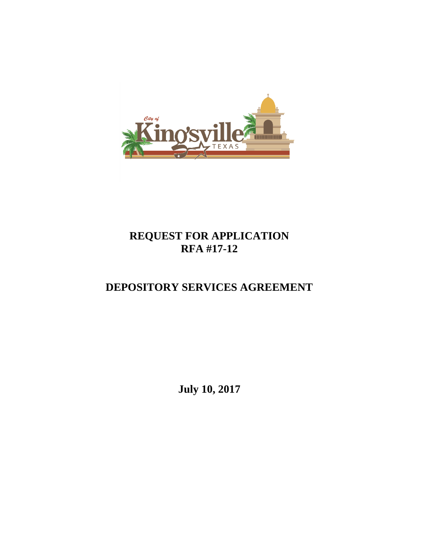

# **REQUEST FOR APPLICATION RFA #17-12**

# **DEPOSITORY SERVICES AGREEMENT**

**July 10, 2017**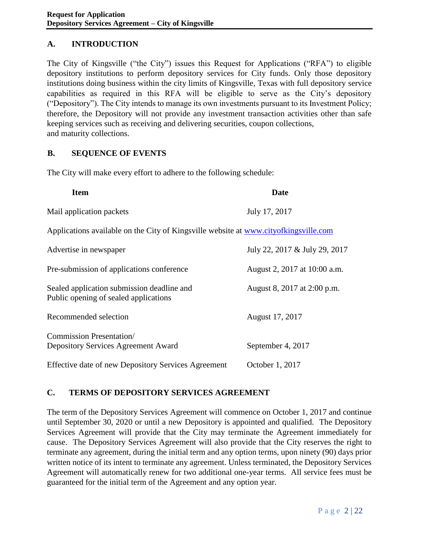## **A. INTRODUCTION**

The City of Kingsville ("the City") issues this Request for Applications ("RFA") to eligible depository institutions to perform depository services for City funds. Only those depository institutions doing business within the city limits of Kingsville, Texas with full depository service capabilities as required in this RFA will be eligible to serve as the City's depository ("Depository"). The City intends to manage its own investments pursuant to its Investment Policy; therefore, the Depository will not provide any investment transaction activities other than safe keeping services such as receiving and delivering securities, coupon collections, and maturity collections.

### **B. SEQUENCE OF EVENTS**

The City will make every effort to adhere to the following schedule:

| <b>Item</b>                                                                          | Date                          |
|--------------------------------------------------------------------------------------|-------------------------------|
| Mail application packets                                                             | July 17, 2017                 |
| Applications available on the City of Kingsville website at www.cityofkingsville.com |                               |
| Advertise in newspaper                                                               | July 22, 2017 & July 29, 2017 |
| Pre-submission of applications conference                                            | August 2, 2017 at 10:00 a.m.  |
| Sealed application submission deadline and<br>Public opening of sealed applications  | August 8, 2017 at 2:00 p.m.   |
| Recommended selection                                                                | August 17, 2017               |
| <b>Commission Presentation</b> /<br><b>Depository Services Agreement Award</b>       | September 4, 2017             |
| Effective date of new Depository Services Agreement                                  | October 1, 2017               |

### **C. TERMS OF DEPOSITORY SERVICES AGREEMENT**

The term of the Depository Services Agreement will commence on October 1, 2017 and continue until September 30, 2020 or until a new Depository is appointed and qualified. The Depository Services Agreement will provide that the City may terminate the Agreement immediately for cause. The Depository Services Agreement will also provide that the City reserves the right to terminate any agreement, during the initial term and any option terms, upon ninety (90) days prior written notice of its intent to terminate any agreement. Unless terminated, the Depository Services Agreement will automatically renew for two additional one-year terms. All service fees must be guaranteed for the initial term of the Agreement and any option year.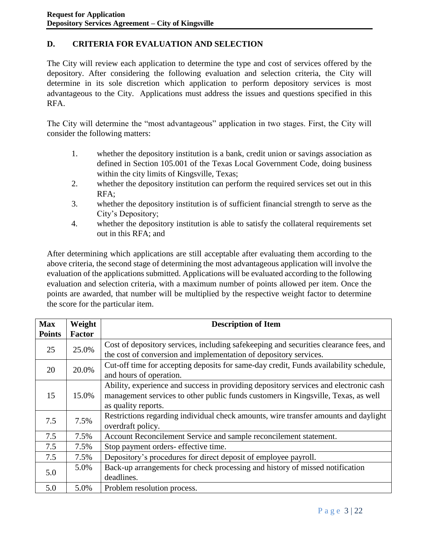## **D. CRITERIA FOR EVALUATION AND SELECTION**

The City will review each application to determine the type and cost of services offered by the depository. After considering the following evaluation and selection criteria, the City will determine in its sole discretion which application to perform depository services is most advantageous to the City. Applications must address the issues and questions specified in this RFA.

The City will determine the "most advantageous" application in two stages. First, the City will consider the following matters:

- 1. whether the depository institution is a bank, credit union or savings association as defined in Section 105.001 of the Texas Local Government Code, doing business within the city limits of Kingsville, Texas;
- 2. whether the depository institution can perform the required services set out in this RFA;
- 3. whether the depository institution is of sufficient financial strength to serve as the City's Depository;
- 4. whether the depository institution is able to satisfy the collateral requirements set out in this RFA; and

After determining which applications are still acceptable after evaluating them according to the above criteria, the second stage of determining the most advantageous application will involve the evaluation of the applications submitted. Applications will be evaluated according to the following evaluation and selection criteria, with a maximum number of points allowed per item. Once the points are awarded, that number will be multiplied by the respective weight factor to determine the score for the particular item.

| <b>Max</b>    | Weight        | <b>Description of Item</b>                                                                                                                                                                       |  |  |
|---------------|---------------|--------------------------------------------------------------------------------------------------------------------------------------------------------------------------------------------------|--|--|
| <b>Points</b> | <b>Factor</b> |                                                                                                                                                                                                  |  |  |
| 25            | 25.0%         | Cost of depository services, including safekeeping and securities clearance fees, and<br>the cost of conversion and implementation of depository services.                                       |  |  |
| 20            | 20.0%         | Cut-off time for accepting deposits for same-day credit, Funds availability schedule,<br>and hours of operation.                                                                                 |  |  |
| 15            | 15.0%         | Ability, experience and success in providing depository services and electronic cash<br>management services to other public funds customers in Kingsville, Texas, as well<br>as quality reports. |  |  |
| 7.5           | 7.5%          | Restrictions regarding individual check amounts, wire transfer amounts and daylight<br>overdraft policy.                                                                                         |  |  |
| 7.5           | 7.5%          | Account Reconcilement Service and sample reconcilement statement.                                                                                                                                |  |  |
| 7.5           | 7.5%          | Stop payment orders- effective time.                                                                                                                                                             |  |  |
| 7.5           | 7.5%          | Depository's procedures for direct deposit of employee payroll.                                                                                                                                  |  |  |
| 5.0           | 5.0%          | Back-up arrangements for check processing and history of missed notification<br>deadlines.                                                                                                       |  |  |
| 5.0           | 5.0%          | Problem resolution process.                                                                                                                                                                      |  |  |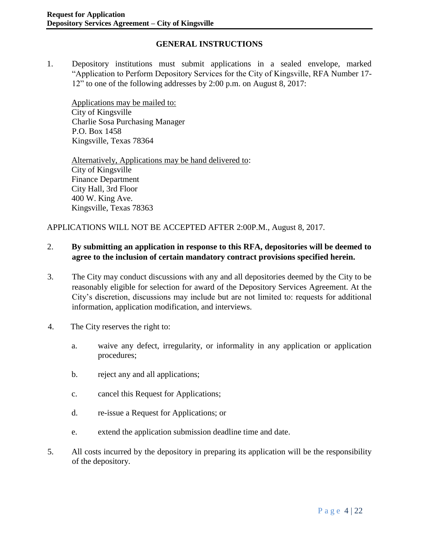## **GENERAL INSTRUCTIONS**

1. Depository institutions must submit applications in a sealed envelope, marked "Application to Perform Depository Services for the City of Kingsville, RFA Number 17- 12" to one of the following addresses by 2:00 p.m. on August 8, 2017:

Applications may be mailed to: City of Kingsville Charlie Sosa Purchasing Manager P.O. Box 1458 Kingsville, Texas 78364

Alternatively, Applications may be hand delivered to: City of Kingsville Finance Department City Hall, 3rd Floor 400 W. King Ave. Kingsville, Texas 78363

APPLICATIONS WILL NOT BE ACCEPTED AFTER 2:00P.M., August 8, 2017.

#### 2. **By submitting an application in response to this RFA, depositories will be deemed to agree to the inclusion of certain mandatory contract provisions specified herein.**

- 3. The City may conduct discussions with any and all depositories deemed by the City to be reasonably eligible for selection for award of the Depository Services Agreement. At the City's discretion, discussions may include but are not limited to: requests for additional information, application modification, and interviews.
- 4. The City reserves the right to:
	- a. waive any defect, irregularity, or informality in any application or application procedures;
	- b. reject any and all applications;
	- c. cancel this Request for Applications;
	- d. re-issue a Request for Applications; or
	- e. extend the application submission deadline time and date.
- 5. All costs incurred by the depository in preparing its application will be the responsibility of the depository.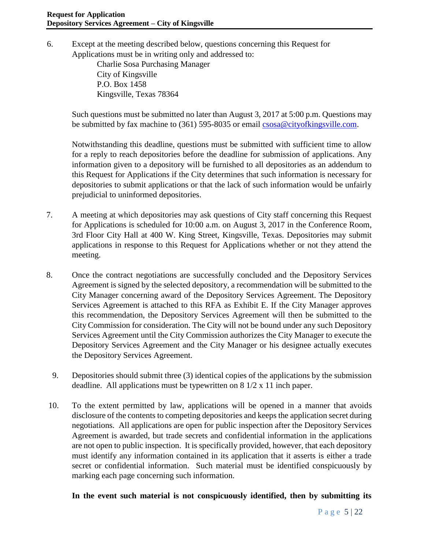6. Except at the meeting described below, questions concerning this Request for Applications must be in writing only and addressed to:

> Charlie Sosa Purchasing Manager City of Kingsville P.O. Box 1458 Kingsville, Texas 78364

Such questions must be submitted no later than August 3, 2017 at 5:00 p.m. Questions may be submitted by fax machine to (361) 595-8035 or email [csosa@cityofkingsville.com.](mailto:csosa@cityofkingsville.com)

Notwithstanding this deadline, questions must be submitted with sufficient time to allow for a reply to reach depositories before the deadline for submission of applications. Any information given to a depository will be furnished to all depositories as an addendum to this Request for Applications if the City determines that such information is necessary for depositories to submit applications or that the lack of such information would be unfairly prejudicial to uninformed depositories.

- 7. A meeting at which depositories may ask questions of City staff concerning this Request for Applications is scheduled for 10:00 a.m. on August 3, 2017 in the Conference Room, 3rd Floor City Hall at 400 W. King Street, Kingsville, Texas. Depositories may submit applications in response to this Request for Applications whether or not they attend the meeting.
- 8. Once the contract negotiations are successfully concluded and the Depository Services Agreement is signed by the selected depository, a recommendation will be submitted to the City Manager concerning award of the Depository Services Agreement. The Depository Services Agreement is attached to this RFA as Exhibit E. If the City Manager approves this recommendation, the Depository Services Agreement will then be submitted to the City Commission for consideration. The City will not be bound under any such Depository Services Agreement until the City Commission authorizes the City Manager to execute the Depository Services Agreement and the City Manager or his designee actually executes the Depository Services Agreement.
	- 9. Depositories should submit three (3) identical copies of the applications by the submission deadline. All applications must be typewritten on 8 1/2 x 11 inch paper.
- 10. To the extent permitted by law, applications will be opened in a manner that avoids disclosure of the contents to competing depositories and keeps the application secret during negotiations. All applications are open for public inspection after the Depository Services Agreement is awarded, but trade secrets and confidential information in the applications are not open to public inspection. It is specifically provided, however, that each depository must identify any information contained in its application that it asserts is either a trade secret or confidential information. Such material must be identified conspicuously by marking each page concerning such information.

### **In the event such material is not conspicuously identified, then by submitting its**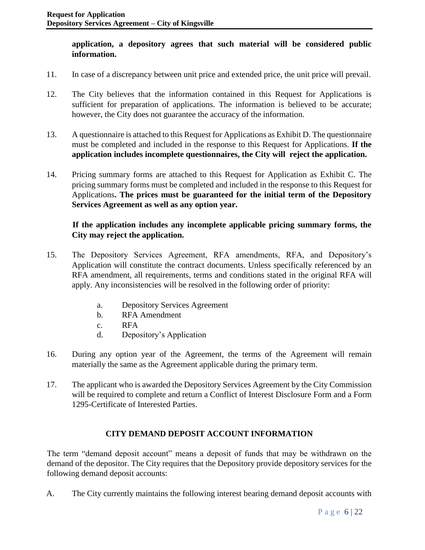#### **application, a depository agrees that such material will be considered public information.**

- 11. In case of a discrepancy between unit price and extended price, the unit price will prevail.
- 12. The City believes that the information contained in this Request for Applications is sufficient for preparation of applications. The information is believed to be accurate; however, the City does not guarantee the accuracy of the information.
- 13. A questionnaire is attached to this Request for Applications as Exhibit D. The questionnaire must be completed and included in the response to this Request for Applications. **If the application includes incomplete questionnaires, the City will reject the application.**
- 14. Pricing summary forms are attached to this Request for Application as Exhibit C. The pricing summary forms must be completed and included in the response to this Request for Applications**. The prices must be guaranteed for the initial term of the Depository Services Agreement as well as any option year.**

## **If the application includes any incomplete applicable pricing summary forms, the City may reject the application.**

- 15. The Depository Services Agreement, RFA amendments, RFA, and Depository's Application will constitute the contract documents. Unless specifically referenced by an RFA amendment, all requirements, terms and conditions stated in the original RFA will apply. Any inconsistencies will be resolved in the following order of priority:
	- a. Depository Services Agreement
	- b. RFA Amendment
	- c. RFA
	- d. Depository's Application
- 16. During any option year of the Agreement, the terms of the Agreement will remain materially the same as the Agreement applicable during the primary term.
- 17. The applicant who is awarded the Depository Services Agreement by the City Commission will be required to complete and return a Conflict of Interest Disclosure Form and a Form 1295-Certificate of Interested Parties.

## **CITY DEMAND DEPOSIT ACCOUNT INFORMATION**

The term "demand deposit account" means a deposit of funds that may be withdrawn on the demand of the depositor. The City requires that the Depository provide depository services for the following demand deposit accounts:

A. The City currently maintains the following interest bearing demand deposit accounts with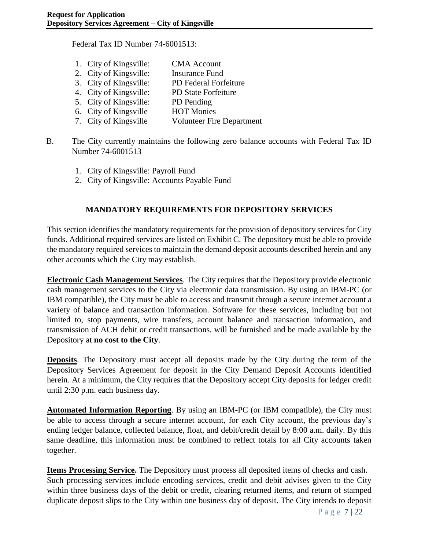Federal Tax ID Number 74-6001513:

| 1. City of Kingsville: | <b>CMA</b> Account               |
|------------------------|----------------------------------|
| 2. City of Kingsville: | <b>Insurance Fund</b>            |
| 3. City of Kingsville: | PD Federal Forfeiture            |
| 4. City of Kingsville: | <b>PD State Forfeiture</b>       |
| 5. City of Kingsville: | PD Pending                       |
| 6. City of Kingsville  | <b>HOT Monies</b>                |
| 7. City of Kingsville  | <b>Volunteer Fire Department</b> |

- B. The City currently maintains the following zero balance accounts with Federal Tax ID Number 74-6001513
	- 1. City of Kingsville: Payroll Fund
	- 2. City of Kingsville: Accounts Payable Fund

### **MANDATORY REQUIREMENTS FOR DEPOSITORY SERVICES**

This section identifies the mandatory requirements for the provision of depository services for City funds. Additional required services are listed on Exhibit C. The depository must be able to provide the mandatory required services to maintain the demand deposit accounts described herein and any other accounts which the City may establish.

**Electronic Cash Management Services**. The City requires that the Depository provide electronic cash management services to the City via electronic data transmission. By using an IBM-PC (or IBM compatible), the City must be able to access and transmit through a secure internet account a variety of balance and transaction information. Software for these services, including but not limited to, stop payments, wire transfers, account balance and transaction information, and transmission of ACH debit or credit transactions, will be furnished and be made available by the Depository at **no cost to the City**.

**Deposits**. The Depository must accept all deposits made by the City during the term of the Depository Services Agreement for deposit in the City Demand Deposit Accounts identified herein. At a minimum, the City requires that the Depository accept City deposits for ledger credit until 2:30 p.m. each business day.

**Automated Information Reporting**. By using an IBM-PC (or IBM compatible), the City must be able to access through a secure internet account, for each City account, the previous day's ending ledger balance, collected balance, float, and debit/credit detail by 8:00 a.m. daily. By this same deadline, this information must be combined to reflect totals for all City accounts taken together.

**Items Processing Service.** The Depository must process all deposited items of checks and cash. Such processing services include encoding services, credit and debit advises given to the City within three business days of the debit or credit, clearing returned items, and return of stamped duplicate deposit slips to the City within one business day of deposit. The City intends to deposit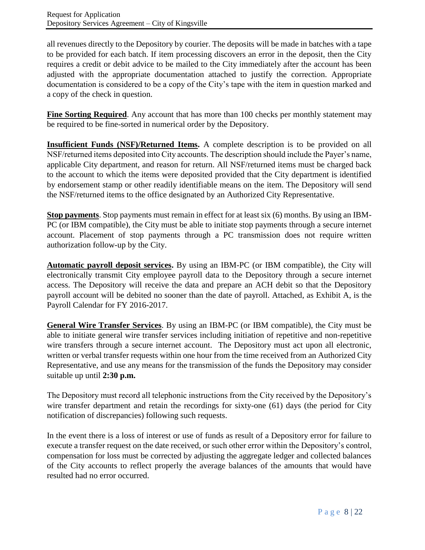all revenues directly to the Depository by courier. The deposits will be made in batches with a tape to be provided for each batch. If item processing discovers an error in the deposit, then the City requires a credit or debit advice to be mailed to the City immediately after the account has been adjusted with the appropriate documentation attached to justify the correction. Appropriate documentation is considered to be a copy of the City's tape with the item in question marked and a copy of the check in question.

**Fine Sorting Required**. Any account that has more than 100 checks per monthly statement may be required to be fine-sorted in numerical order by the Depository.

**Insufficient Funds (NSF)/Returned Items.** A complete description is to be provided on all NSF/returned items deposited into City accounts. The description should include the Payer's name, applicable City department, and reason for return. All NSF/returned items must be charged back to the account to which the items were deposited provided that the City department is identified by endorsement stamp or other readily identifiable means on the item. The Depository will send the NSF/returned items to the office designated by an Authorized City Representative.

**Stop payments**. Stop payments must remain in effect for at least six (6) months. By using an IBM-PC (or IBM compatible), the City must be able to initiate stop payments through a secure internet account. Placement of stop payments through a PC transmission does not require written authorization follow-up by the City.

**Automatic payroll deposit services.** By using an IBM-PC (or IBM compatible), the City will electronically transmit City employee payroll data to the Depository through a secure internet access. The Depository will receive the data and prepare an ACH debit so that the Depository payroll account will be debited no sooner than the date of payroll. Attached, as Exhibit A, is the Payroll Calendar for FY 2016-2017.

**General Wire Transfer Services**. By using an IBM-PC (or IBM compatible), the City must be able to initiate general wire transfer services including initiation of repetitive and non-repetitive wire transfers through a secure internet account. The Depository must act upon all electronic, written or verbal transfer requests within one hour from the time received from an Authorized City Representative, and use any means for the transmission of the funds the Depository may consider suitable up until **2:30 p.m.**

The Depository must record all telephonic instructions from the City received by the Depository's wire transfer department and retain the recordings for sixty-one (61) days (the period for City notification of discrepancies) following such requests.

In the event there is a loss of interest or use of funds as result of a Depository error for failure to execute a transfer request on the date received, or such other error within the Depository's control, compensation for loss must be corrected by adjusting the aggregate ledger and collected balances of the City accounts to reflect properly the average balances of the amounts that would have resulted had no error occurred.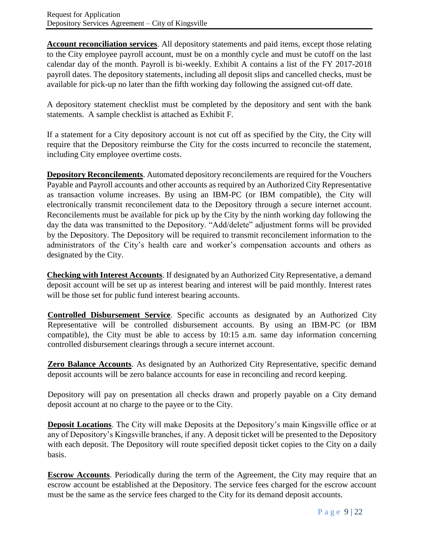**Account reconciliation services**. All depository statements and paid items, except those relating to the City employee payroll account, must be on a monthly cycle and must be cutoff on the last calendar day of the month. Payroll is bi-weekly. Exhibit A contains a list of the FY 2017-2018 payroll dates. The depository statements, including all deposit slips and cancelled checks, must be available for pick-up no later than the fifth working day following the assigned cut-off date.

A depository statement checklist must be completed by the depository and sent with the bank statements. A sample checklist is attached as Exhibit F.

If a statement for a City depository account is not cut off as specified by the City, the City will require that the Depository reimburse the City for the costs incurred to reconcile the statement, including City employee overtime costs.

**Depository Reconcilements**. Automated depository reconcilements are required for the Vouchers Payable and Payroll accounts and other accounts as required by an Authorized City Representative as transaction volume increases. By using an IBM-PC (or IBM compatible), the City will electronically transmit reconcilement data to the Depository through a secure internet account. Reconcilements must be available for pick up by the City by the ninth working day following the day the data was transmitted to the Depository. "Add/delete" adjustment forms will be provided by the Depository. The Depository will be required to transmit reconcilement information to the administrators of the City's health care and worker's compensation accounts and others as designated by the City.

**Checking with Interest Accounts**. If designated by an Authorized City Representative, a demand deposit account will be set up as interest bearing and interest will be paid monthly. Interest rates will be those set for public fund interest bearing accounts.

**Controlled Disbursement Service**. Specific accounts as designated by an Authorized City Representative will be controlled disbursement accounts. By using an IBM-PC (or IBM compatible), the City must be able to access by 10:15 a.m. same day information concerning controlled disbursement clearings through a secure internet account.

**Zero Balance Accounts**. As designated by an Authorized City Representative, specific demand deposit accounts will be zero balance accounts for ease in reconciling and record keeping.

Depository will pay on presentation all checks drawn and properly payable on a City demand deposit account at no charge to the payee or to the City.

**Deposit Locations**. The City will make Deposits at the Depository's main Kingsville office or at any of Depository's Kingsville branches, if any. A deposit ticket will be presented to the Depository with each deposit. The Depository will route specified deposit ticket copies to the City on a daily basis.

**Escrow Accounts**. Periodically during the term of the Agreement, the City may require that an escrow account be established at the Depository. The service fees charged for the escrow account must be the same as the service fees charged to the City for its demand deposit accounts.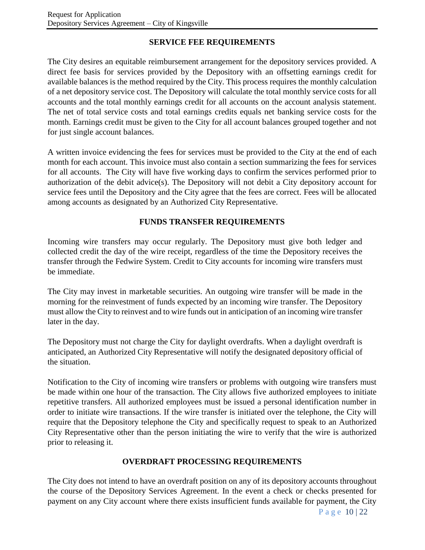## **SERVICE FEE REQUIREMENTS**

The City desires an equitable reimbursement arrangement for the depository services provided. A direct fee basis for services provided by the Depository with an offsetting earnings credit for available balances is the method required by the City. This process requires the monthly calculation of a net depository service cost. The Depository will calculate the total monthly service costs for all accounts and the total monthly earnings credit for all accounts on the account analysis statement. The net of total service costs and total earnings credits equals net banking service costs for the month. Earnings credit must be given to the City for all account balances grouped together and not for just single account balances.

A written invoice evidencing the fees for services must be provided to the City at the end of each month for each account. This invoice must also contain a section summarizing the fees for services for all accounts. The City will have five working days to confirm the services performed prior to authorization of the debit advice(s). The Depository will not debit a City depository account for service fees until the Depository and the City agree that the fees are correct. Fees will be allocated among accounts as designated by an Authorized City Representative.

## **FUNDS TRANSFER REQUIREMENTS**

Incoming wire transfers may occur regularly. The Depository must give both ledger and collected credit the day of the wire receipt, regardless of the time the Depository receives the transfer through the Fedwire System. Credit to City accounts for incoming wire transfers must be immediate.

The City may invest in marketable securities. An outgoing wire transfer will be made in the morning for the reinvestment of funds expected by an incoming wire transfer. The Depository must allow the City to reinvest and to wire funds out in anticipation of an incoming wire transfer later in the day.

The Depository must not charge the City for daylight overdrafts. When a daylight overdraft is anticipated, an Authorized City Representative will notify the designated depository official of the situation.

Notification to the City of incoming wire transfers or problems with outgoing wire transfers must be made within one hour of the transaction. The City allows five authorized employees to initiate repetitive transfers. All authorized employees must be issued a personal identification number in order to initiate wire transactions. If the wire transfer is initiated over the telephone, the City will require that the Depository telephone the City and specifically request to speak to an Authorized City Representative other than the person initiating the wire to verify that the wire is authorized prior to releasing it.

## **OVERDRAFT PROCESSING REQUIREMENTS**

The City does not intend to have an overdraft position on any of its depository accounts throughout the course of the Depository Services Agreement. In the event a check or checks presented for payment on any City account where there exists insufficient funds available for payment, the City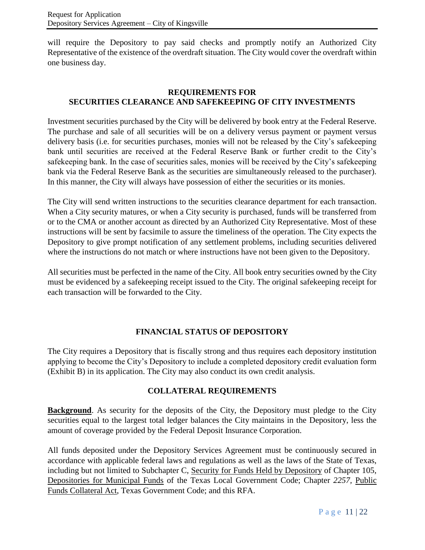will require the Depository to pay said checks and promptly notify an Authorized City Representative of the existence of the overdraft situation. The City would cover the overdraft within one business day.

## **REQUIREMENTS FOR SECURITIES CLEARANCE AND SAFEKEEPING OF CITY INVESTMENTS**

Investment securities purchased by the City will be delivered by book entry at the Federal Reserve. The purchase and sale of all securities will be on a delivery versus payment or payment versus delivery basis (i.e. for securities purchases, monies will not be released by the City's safekeeping bank until securities are received at the Federal Reserve Bank or further credit to the City's safekeeping bank. In the case of securities sales, monies will be received by the City's safekeeping bank via the Federal Reserve Bank as the securities are simultaneously released to the purchaser). In this manner, the City will always have possession of either the securities or its monies.

The City will send written instructions to the securities clearance department for each transaction. When a City security matures, or when a City security is purchased, funds will be transferred from or to the CMA or another account as directed by an Authorized City Representative. Most of these instructions will be sent by facsimile to assure the timeliness of the operation. The City expects the Depository to give prompt notification of any settlement problems, including securities delivered where the instructions do not match or where instructions have not been given to the Depository.

All securities must be perfected in the name of the City. All book entry securities owned by the City must be evidenced by a safekeeping receipt issued to the City. The original safekeeping receipt for each transaction will be forwarded to the City.

### **FINANCIAL STATUS OF DEPOSITORY**

The City requires a Depository that is fiscally strong and thus requires each depository institution applying to become the City's Depository to include a completed depository credit evaluation form (Exhibit B) in its application. The City may also conduct its own credit analysis.

### **COLLATERAL REQUIREMENTS**

**Background**. As security for the deposits of the City, the Depository must pledge to the City securities equal to the largest total ledger balances the City maintains in the Depository, less the amount of coverage provided by the Federal Deposit Insurance Corporation.

All funds deposited under the Depository Services Agreement must be continuously secured in accordance with applicable federal laws and regulations as well as the laws of the State of Texas, including but not limited to Subchapter C, Security for Funds Held by Depository of Chapter 105, Depositories for Municipal Funds of the Texas Local Government Code; Chapter *2257,* Public Funds Collateral Act, Texas Government Code; and this RFA.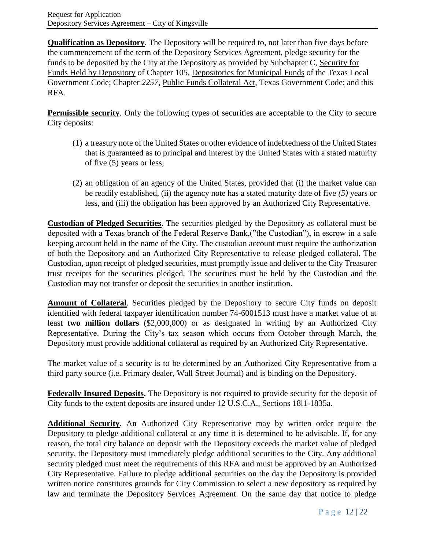**Qualification as Depository**. The Depository will be required to, not later than five days before the commencement of the term of the Depository Services Agreement, pledge security for the funds to be deposited by the City at the Depository as provided by Subchapter C, Security for Funds Held by Depository of Chapter 105, Depositories for Municipal Funds of the Texas Local Government Code; Chapter *2257,* Public Funds Collateral Act, Texas Government Code; and this RFA.

**Permissible security**. Only the following types of securities are acceptable to the City to secure City deposits:

- (1) a treasury note of the United States or other evidence of indebtedness of the United States that is guaranteed as to principal and interest by the United States with a stated maturity of five (5) years or less;
- (2) an obligation of an agency of the United States, provided that (i) the market value can be readily established, (ii) the agency note has a stated maturity date of five *(5)* years or less, and (iii) the obligation has been approved by an Authorized City Representative.

**Custodian of Pledged Securities**. The securities pledged by the Depository as collateral must be deposited with a Texas branch of the Federal Reserve Bank,("the Custodian"), in escrow in a safe keeping account held in the name of the City. The custodian account must require the authorization of both the Depository and an Authorized City Representative to release pledged collateral. The Custodian, upon receipt of pledged securities, must promptly issue and deliver to the City Treasurer trust receipts for the securities pledged. The securities must be held by the Custodian and the Custodian may not transfer or deposit the securities in another institution.

**Amount of Collateral**. Securities pledged by the Depository to secure City funds on deposit identified with federal taxpayer identification number 74-6001513 must have a market value of at least **two million dollars** (\$2,000,000) or as designated in writing by an Authorized City Representative. During the City's tax season which occurs from October through March, the Depository must provide additional collateral as required by an Authorized City Representative.

The market value of a security is to be determined by an Authorized City Representative from a third party source (i.e. Primary dealer, Wall Street Journal) and is binding on the Depository.

**Federally Insured Deposits.** The Depository is not required to provide security for the deposit of City funds to the extent deposits are insured under 12 U.S.C.A., Sections 18l1-1835a.

**Additional Security**. An Authorized City Representative may by written order require the Depository to pledge additional collateral at any time it is determined to be advisable. If, for any reason, the total city balance on deposit with the Depository exceeds the market value of pledged security, the Depository must immediately pledge additional securities to the City. Any additional security pledged must meet the requirements of this RFA and must be approved by an Authorized City Representative. Failure to pledge additional securities on the day the Depository is provided written notice constitutes grounds for City Commission to select a new depository as required by law and terminate the Depository Services Agreement. On the same day that notice to pledge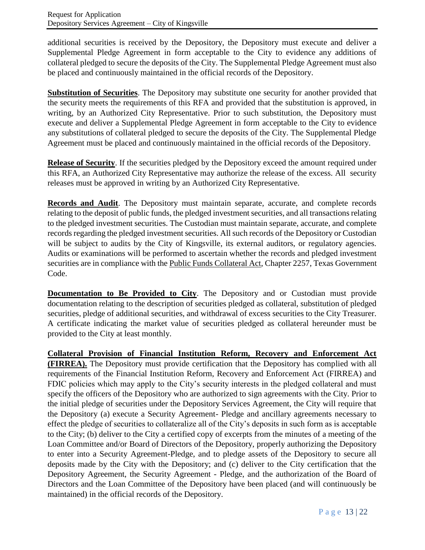additional securities is received by the Depository, the Depository must execute and deliver a Supplemental Pledge Agreement in form acceptable to the City to evidence any additions of collateral pledged to secure the deposits of the City. The Supplemental Pledge Agreement must also be placed and continuously maintained in the official records of the Depository.

**Substitution of Securities**. The Depository may substitute one security for another provided that the security meets the requirements of this RFA and provided that the substitution is approved, in writing, by an Authorized City Representative. Prior to such substitution, the Depository must execute and deliver a Supplemental Pledge Agreement in form acceptable to the City to evidence any substitutions of collateral pledged to secure the deposits of the City. The Supplemental Pledge Agreement must be placed and continuously maintained in the official records of the Depository.

**Release of Security**. If the securities pledged by the Depository exceed the amount required under this RFA, an Authorized City Representative may authorize the release of the excess. All security releases must be approved in writing by an Authorized City Representative.

**Records and Audit**. The Depository must maintain separate, accurate, and complete records relating to the deposit of public funds, the pledged investment securities, and all transactions relating to the pledged investment securities. The Custodian must maintain separate, accurate, and complete records regarding the pledged investment securities. All such records of the Depository or Custodian will be subject to audits by the City of Kingsville, its external auditors, or regulatory agencies. Audits or examinations will be performed to ascertain whether the records and pledged investment securities are in compliance with the Public Funds Collateral Act, Chapter 2257, Texas Government Code.

**Documentation to Be Provided to City**. The Depository and or Custodian must provide documentation relating to the description of securities pledged as collateral, substitution of pledged securities, pledge of additional securities, and withdrawal of excess securities to the City Treasurer. A certificate indicating the market value of securities pledged as collateral hereunder must be provided to the City at least monthly.

**Collateral Provision of Financial Institution Reform, Recovery and Enforcement Act (FIRREA).** The Depository must provide certification that the Depository has complied with all requirements of the Financial Institution Reform, Recovery and Enforcement Act (FIRREA) and FDIC policies which may apply to the City's security interests in the pledged collateral and must specify the officers of the Depository who are authorized to sign agreements with the City. Prior to the initial pledge of securities under the Depository Services Agreement, the City will require that the Depository (a) execute a Security Agreement- Pledge and ancillary agreements necessary to effect the pledge of securities to collateralize all of the City's deposits in such form as is acceptable to the City; (b) deliver to the City a certified copy of excerpts from the minutes of a meeting of the Loan Committee and/or Board of Directors of the Depository, properly authorizing the Depository to enter into a Security Agreement-Pledge, and to pledge assets of the Depository to secure all deposits made by the City with the Depository; and (c) deliver to the City certification that the Depository Agreement, the Security Agreement - Pledge, and the authorization of the Board of Directors and the Loan Committee of the Depository have been placed (and will continuously be maintained) in the official records of the Depository.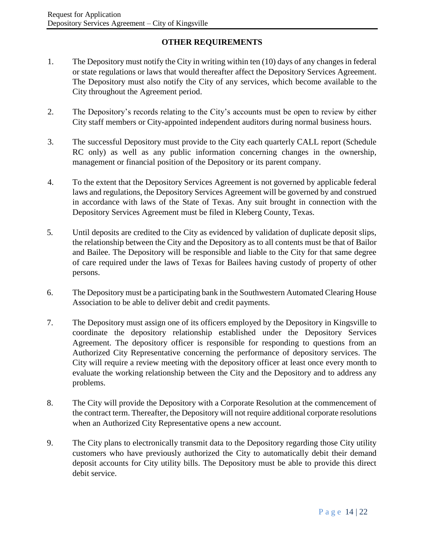# **OTHER REQUIREMENTS**

- 1. The Depository must notify the City in writing within ten (10) days of any changes in federal or state regulations or laws that would thereafter affect the Depository Services Agreement. The Depository must also notify the City of any services, which become available to the City throughout the Agreement period.
- 2. The Depository's records relating to the City's accounts must be open to review by either City staff members or City-appointed independent auditors during normal business hours.
- 3. The successful Depository must provide to the City each quarterly CALL report (Schedule RC only) as well as any public information concerning changes in the ownership, management or financial position of the Depository or its parent company.
- 4. To the extent that the Depository Services Agreement is not governed by applicable federal laws and regulations, the Depository Services Agreement will be governed by and construed in accordance with laws of the State of Texas. Any suit brought in connection with the Depository Services Agreement must be filed in Kleberg County, Texas.
- 5*.* Until deposits are credited to the City as evidenced by validation of duplicate deposit slips, the relationship between the City and the Depository as to all contents must be that of Bailor and Bailee. The Depository will be responsible and liable to the City for that same degree of care required under the laws of Texas for Bailees having custody of property of other persons.
- 6. The Depository must be a participating bank in the Southwestern Automated Clearing House Association to be able to deliver debit and credit payments.
- 7. The Depository must assign one of its officers employed by the Depository in Kingsville to coordinate the depository relationship established under the Depository Services Agreement. The depository officer is responsible for responding to questions from an Authorized City Representative concerning the performance of depository services. The City will require a review meeting with the depository officer at least once every month to evaluate the working relationship between the City and the Depository and to address any problems.
- 8. The City will provide the Depository with a Corporate Resolution at the commencement of the contract term. Thereafter, the Depository will not require additional corporate resolutions when an Authorized City Representative opens a new account.
- 9. The City plans to electronically transmit data to the Depository regarding those City utility customers who have previously authorized the City to automatically debit their demand deposit accounts for City utility bills. The Depository must be able to provide this direct debit service.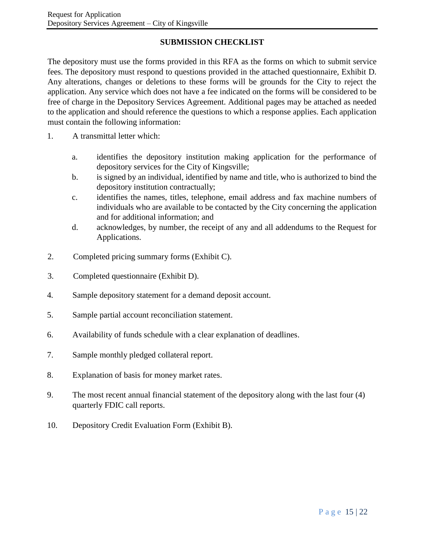# **SUBMISSION CHECKLIST**

The depository must use the forms provided in this RFA as the forms on which to submit service fees. The depository must respond to questions provided in the attached questionnaire, Exhibit D. Any alterations, changes or deletions to these forms will be grounds for the City to reject the application. Any service which does not have a fee indicated on the forms will be considered to be free of charge in the Depository Services Agreement. Additional pages may be attached as needed to the application and should reference the questions to which a response applies. Each application must contain the following information:

- 1. A transmittal letter which:
	- a. identifies the depository institution making application for the performance of depository services for the City of Kingsville;
	- b. is signed by an individual, identified by name and title, who is authorized to bind the depository institution contractually;
	- c. identifies the names, titles, telephone, email address and fax machine numbers of individuals who are available to be contacted by the City concerning the application and for additional information; and
	- d. acknowledges, by number, the receipt of any and all addendums to the Request for Applications.
- 2. Completed pricing summary forms (Exhibit C).
- 3. Completed questionnaire (Exhibit D).
- 4*.* Sample depository statement for a demand deposit account.
- 5. Sample partial account reconciliation statement.
- 6. Availability of funds schedule with a clear explanation of deadlines.
- 7. Sample monthly pledged collateral report.
- 8. Explanation of basis for money market rates.
- 9. The most recent annual financial statement of the depository along with the last four (4) quarterly FDIC call reports.
- 10. Depository Credit Evaluation Form (Exhibit B).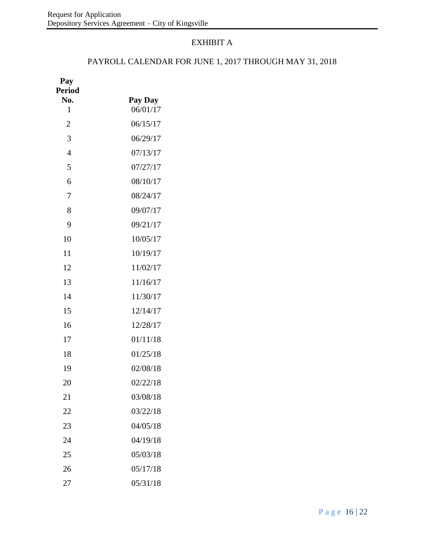# EXHIBIT A

## PAYROLL CALENDAR FOR JUNE 1, 2017 THROUGH MAY 31, 2018

| Pay<br><b>Period</b> |          |
|----------------------|----------|
| No.                  | Pay Day  |
| 1                    | 06/01/17 |
| $\overline{2}$       | 06/15/17 |
| 3                    | 06/29/17 |
| 4                    | 07/13/17 |
| 5                    | 07/27/17 |
| 6                    | 08/10/17 |
| 7                    | 08/24/17 |
| 8                    | 09/07/17 |
| 9                    | 09/21/17 |
| 10                   | 10/05/17 |
| 11                   | 10/19/17 |
| 12                   | 11/02/17 |
| 13                   | 11/16/17 |
| 14                   | 11/30/17 |
| 15                   | 12/14/17 |
| 16                   | 12/28/17 |
| 17                   | 01/11/18 |
| 18                   | 01/25/18 |
| 19                   | 02/08/18 |
| 20                   | 02/22/18 |
| 21                   | 03/08/18 |
| 22                   | 03/22/18 |
| 23                   | 04/05/18 |
| 24                   | 04/19/18 |
| 25                   | 05/03/18 |
| 26                   | 05/17/18 |
| 27                   | 05/31/18 |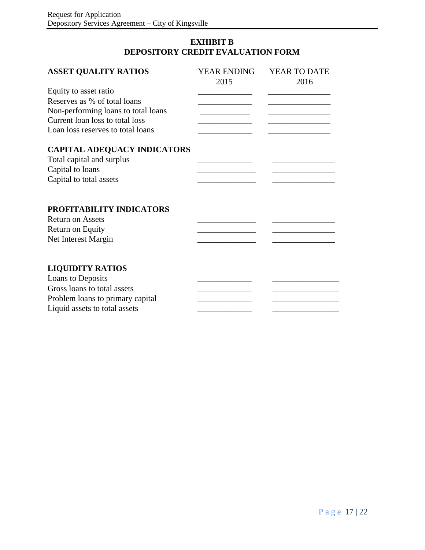## **EXHIBIT B DEPOSITORY CREDIT EVALUATION FORM**

| <b>ASSET QUALITY RATIOS</b>         | YEAR ENDING | YEAR TO DATE |
|-------------------------------------|-------------|--------------|
|                                     | 2015        | 2016         |
| Equity to asset ratio               |             |              |
| Reserves as % of total loans        |             |              |
| Non-performing loans to total loans |             |              |
| Current loan loss to total loss     |             |              |
| Loan loss reserves to total loans   |             |              |
| <b>CAPITAL ADEQUACY INDICATORS</b>  |             |              |
| Total capital and surplus           |             |              |
| Capital to loans                    |             |              |
| Capital to total assets             |             |              |
|                                     |             |              |
| PROFITABILITY INDICATORS            |             |              |
| <b>Return on Assets</b>             |             |              |
| Return on Equity                    |             |              |
| Net Interest Margin                 |             |              |
|                                     |             |              |
|                                     |             |              |
| <b>LIQUIDITY RATIOS</b>             |             |              |
| Loans to Deposits                   |             |              |
| Gross loans to total assets         |             |              |
| Problem loans to primary capital    |             |              |
| Liquid assets to total assets       |             |              |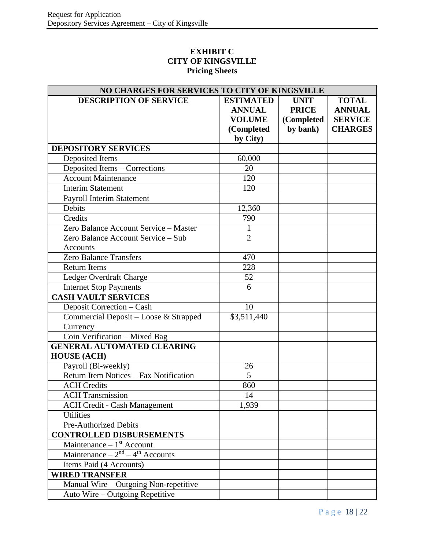## **EXHIBIT C CITY OF KINGSVILLE Pricing Sheets**

| NO CHARGES FOR SERVICES TO CITY OF KINGSVILLE |                  |              |                |  |
|-----------------------------------------------|------------------|--------------|----------------|--|
| <b>DESCRIPTION OF SERVICE</b>                 | <b>ESTIMATED</b> | <b>UNIT</b>  | <b>TOTAL</b>   |  |
|                                               | <b>ANNUAL</b>    | <b>PRICE</b> | <b>ANNUAL</b>  |  |
|                                               | <b>VOLUME</b>    | (Completed   | <b>SERVICE</b> |  |
|                                               | (Completed       | by bank)     | <b>CHARGES</b> |  |
|                                               | by City)         |              |                |  |
| <b>DEPOSITORY SERVICES</b>                    |                  |              |                |  |
| Deposited Items                               | 60,000           |              |                |  |
| Deposited Items - Corrections                 | 20               |              |                |  |
| <b>Account Maintenance</b>                    | 120              |              |                |  |
| <b>Interim Statement</b>                      | 120              |              |                |  |
| <b>Payroll Interim Statement</b>              |                  |              |                |  |
| Debits                                        | 12,360           |              |                |  |
| Credits                                       | 790              |              |                |  |
| Zero Balance Account Service - Master         | $\mathbf{1}$     |              |                |  |
| Zero Balance Account Service - Sub            | $\overline{2}$   |              |                |  |
| Accounts                                      |                  |              |                |  |
| <b>Zero Balance Transfers</b>                 | 470              |              |                |  |
| <b>Return Items</b>                           | 228              |              |                |  |
| Ledger Overdraft Charge                       | 52               |              |                |  |
| <b>Internet Stop Payments</b>                 | 6                |              |                |  |
| <b>CASH VAULT SERVICES</b>                    |                  |              |                |  |
| Deposit Correction - Cash                     | 10               |              |                |  |
| Commercial Deposit - Loose & Strapped         | \$3,511,440      |              |                |  |
| Currency                                      |                  |              |                |  |
| Coin Verification - Mixed Bag                 |                  |              |                |  |
| <b>GENERAL AUTOMATED CLEARING</b>             |                  |              |                |  |
| <b>HOUSE</b> (ACH)                            |                  |              |                |  |
| Payroll (Bi-weekly)                           | 26               |              |                |  |
| Return Item Notices - Fax Notification        | 5                |              |                |  |
| <b>ACH</b> Credits                            | 860              |              |                |  |
| <b>ACH Transmission</b>                       | 14               |              |                |  |
| <b>ACH Credit - Cash Management</b>           | 1,939            |              |                |  |
| <b>Utilities</b>                              |                  |              |                |  |
| <b>Pre-Authorized Debits</b>                  |                  |              |                |  |
| <b>CONTROLLED DISBURSEMENTS</b>               |                  |              |                |  |
| Maintenance $-1$ <sup>st</sup> Account        |                  |              |                |  |
| Maintenance $-2nd - 4th$ Accounts             |                  |              |                |  |
| Items Paid (4 Accounts)                       |                  |              |                |  |
| <b>WIRED TRANSFER</b>                         |                  |              |                |  |
| Manual Wire - Outgoing Non-repetitive         |                  |              |                |  |
| Auto Wire - Outgoing Repetitive               |                  |              |                |  |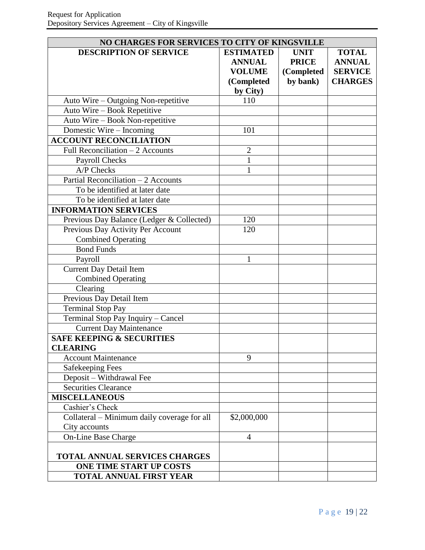| NO CHARGES FOR SERVICES TO CITY OF KINGSVILLE |                  |              |                |
|-----------------------------------------------|------------------|--------------|----------------|
| <b>DESCRIPTION OF SERVICE</b>                 | <b>ESTIMATED</b> | <b>UNIT</b>  | <b>TOTAL</b>   |
|                                               | <b>ANNUAL</b>    | <b>PRICE</b> | <b>ANNUAL</b>  |
|                                               | <b>VOLUME</b>    | (Completed   | <b>SERVICE</b> |
|                                               | (Completed       | by bank)     | <b>CHARGES</b> |
|                                               | by City)         |              |                |
| Auto Wire – Outgoing Non-repetitive           | 110              |              |                |
| Auto Wire - Book Repetitive                   |                  |              |                |
| Auto Wire - Book Non-repetitive               |                  |              |                |
| Domestic Wire - Incoming                      | 101              |              |                |
| <b>ACCOUNT RECONCILIATION</b>                 |                  |              |                |
| Full Reconciliation $-2$ Accounts             | $\overline{2}$   |              |                |
| Payroll Checks                                | $\mathbf{1}$     |              |                |
| A/P Checks                                    | 1                |              |                |
| Partial Reconciliation - 2 Accounts           |                  |              |                |
| To be identified at later date                |                  |              |                |
| To be identified at later date                |                  |              |                |
| <b>INFORMATION SERVICES</b>                   |                  |              |                |
| Previous Day Balance (Ledger & Collected)     | 120              |              |                |
| Previous Day Activity Per Account             | 120              |              |                |
| <b>Combined Operating</b>                     |                  |              |                |
| <b>Bond Funds</b>                             |                  |              |                |
| Payroll                                       | 1                |              |                |
| <b>Current Day Detail Item</b>                |                  |              |                |
| <b>Combined Operating</b>                     |                  |              |                |
| Clearing                                      |                  |              |                |
| Previous Day Detail Item                      |                  |              |                |
| <b>Terminal Stop Pay</b>                      |                  |              |                |
| Terminal Stop Pay Inquiry - Cancel            |                  |              |                |
| <b>Current Day Maintenance</b>                |                  |              |                |
| <b>SAFE KEEPING &amp; SECURITIES</b>          |                  |              |                |
| <b>CLEARING</b>                               |                  |              |                |
| <b>Account Maintenance</b>                    | 9                |              |                |
| <b>Safekeeping Fees</b>                       |                  |              |                |
| Deposit - Withdrawal Fee                      |                  |              |                |
| <b>Securities Clearance</b>                   |                  |              |                |
| <b>MISCELLANEOUS</b>                          |                  |              |                |
| Cashier's Check                               |                  |              |                |
| Collateral - Minimum daily coverage for all   | \$2,000,000      |              |                |
| City accounts                                 |                  |              |                |
| On-Line Base Charge                           | 4                |              |                |
|                                               |                  |              |                |
| TOTAL ANNUAL SERVICES CHARGES                 |                  |              |                |
| <b>ONE TIME START UP COSTS</b>                |                  |              |                |
| TOTAL ANNUAL FIRST YEAR                       |                  |              |                |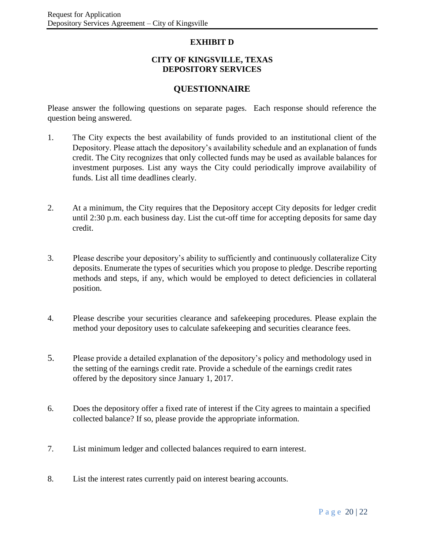### **EXHIBIT D**

#### **CITY OF KINGSVILLE, TEXAS DEPOSITORY SERVICES**

## **QUESTIONNAIRE**

Please answer the following questions on separate pages. Each response should reference the question being answered.

- 1. The City expects the best availability of funds provided to an institutional client of the Depository. Please attach the depository's availability schedule and an explanation of funds credit. The City recognizes that only collected funds may be used as available balances for investment purposes. List any ways the City could periodically improve availability of funds. List all time deadlines clearly.
- 2. At a minimum, the City requires that the Depository accept City deposits for ledger credit until 2:30 p.m. each business day. List the cut-off time for accepting deposits for same day credit.
- 3. Please describe your depository's ability to sufficiently and continuously collateralize City deposits. Enumerate the types of securities which you propose to pledge. Describe reporting methods and steps, if any, which would be employed to detect deficiencies in collateral position.
- 4. Please describe your securities clearance and safekeeping procedures. Please explain the method your depository uses to calculate safekeeping and securities clearance fees.
- 5. Please provide a detailed explanation of the depository's policy and methodology used in the setting of the earnings credit rate. Provide a schedule of the earnings credit rates offered by the depository since January 1, 2017.
- 6. Does the depository offer a fixed rate of interest if the City agrees to maintain a specified collected balance? If so, please provide the appropriate information.
- 7. List minimum ledger and collected balances required to earn interest.
- 8. List the interest rates currently paid on interest bearing accounts.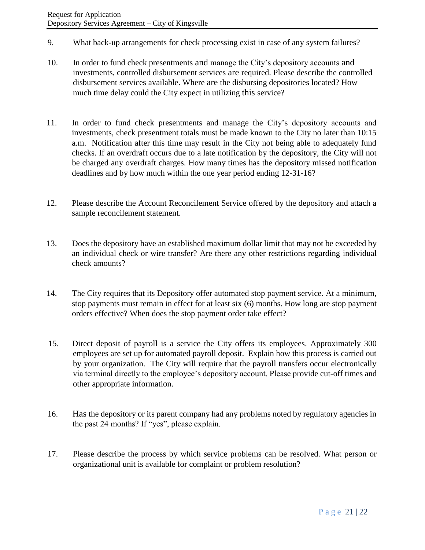- 9. What back-up arrangements for check processing exist in case of any system failures?
- 10. In order to fund check presentments and manage the City's depository accounts and investments, controlled disbursement services are required. Please describe the controlled disbursement services available. Where are the disbursing depositories located? How much time delay could the City expect in utilizing this service?
- 11. In order to fund check presentments and manage the City's depository accounts and investments, check presentment totals must be made known to the City no later than 10:15 a.m. Notification after this time may result in the City not being able to adequately fund checks. If an overdraft occurs due to a late notification by the depository, the City will not be charged any overdraft charges. How many times has the depository missed notification deadlines and by how much within the one year period ending 12-31-16?
- 12. Please describe the Account Reconcilement Service offered by the depository and attach a sample reconcilement statement.
- 13. Does the depository have an established maximum dollar limit that may not be exceeded by an individual check or wire transfer? Are there any other restrictions regarding individual check amounts?
- 14. The City requires that its Depository offer automated stop payment service. At a minimum, stop payments must remain in effect for at least six (6) months. How long are stop payment orders effective? When does the stop payment order take effect?
- 15. Direct deposit of payroll is a service the City offers its employees. Approximately 300 employees are set up for automated payroll deposit. Explain how this process is carried out by your organization. The City will require that the payroll transfers occur electronically via terminal directly to the employee's depository account. Please provide cut-off times and other appropriate information.
- 16. Has the depository or its parent company had any problems noted by regulatory agencies in the past 24 months? If "yes", please explain.
- 17. Please describe the process by which service problems can be resolved. What person or organizational unit is available for complaint or problem resolution?